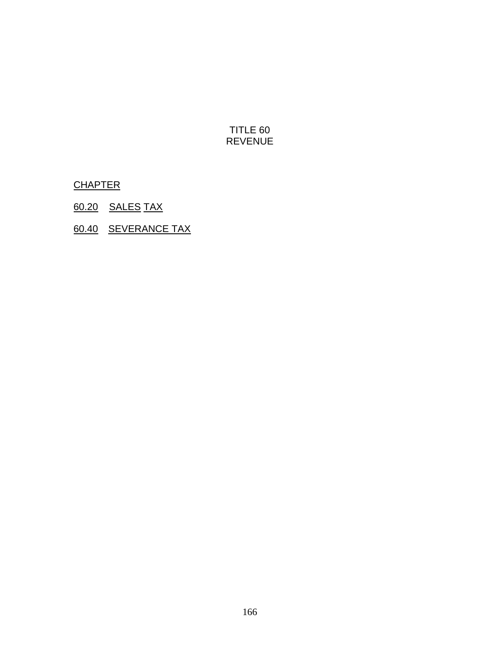## TITLE 60 REVENUE

**CHAPTER** 

- 60.20 SALES TAX
- 60.40 SEVERANCE TAX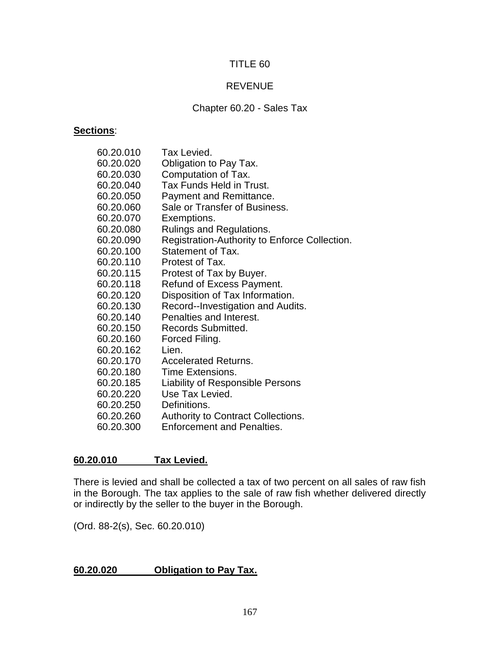### TITLE 60

## REVENUE

#### Chapter 60.20 - Sales Tax

#### **Sections**:

| 60.20.010 | Tax Levied.                                   |
|-----------|-----------------------------------------------|
| 60.20.020 | Obligation to Pay Tax.                        |
| 60.20.030 | Computation of Tax.                           |
| 60.20.040 | Tax Funds Held in Trust.                      |
| 60.20.050 | Payment and Remittance.                       |
| 60.20.060 | Sale or Transfer of Business.                 |
| 60.20.070 | Exemptions.                                   |
| 60.20.080 | <b>Rulings and Regulations.</b>               |
| 60.20.090 | Registration-Authority to Enforce Collection. |
| 60.20.100 | Statement of Tax.                             |
| 60.20.110 | Protest of Tax.                               |
| 60.20.115 | Protest of Tax by Buyer.                      |
| 60.20.118 | Refund of Excess Payment.                     |
| 60.20.120 | Disposition of Tax Information.               |
| 60.20.130 | Record--Investigation and Audits.             |
| 60.20.140 | Penalties and Interest.                       |
| 60.20.150 | Records Submitted.                            |
| 60.20.160 | Forced Filing.                                |
| 60.20.162 | Lien.                                         |
| 60.20.170 | <b>Accelerated Returns.</b>                   |
| 60.20.180 | Time Extensions.                              |
| 60.20.185 | <b>Liability of Responsible Persons</b>       |
| 60.20.220 | Use Tax Levied.                               |
| 60.20.250 | Definitions.                                  |
| 60.20.260 | <b>Authority to Contract Collections.</b>     |
| 60.20.300 | <b>Enforcement and Penalties.</b>             |

#### **60.20.010 Tax Levied.**

There is levied and shall be collected a tax of two percent on all sales of raw fish in the Borough. The tax applies to the sale of raw fish whether delivered directly or indirectly by the seller to the buyer in the Borough.

(Ord. 88-2(s), Sec. 60.20.010)

## **60.20.020 Obligation to Pay Tax.**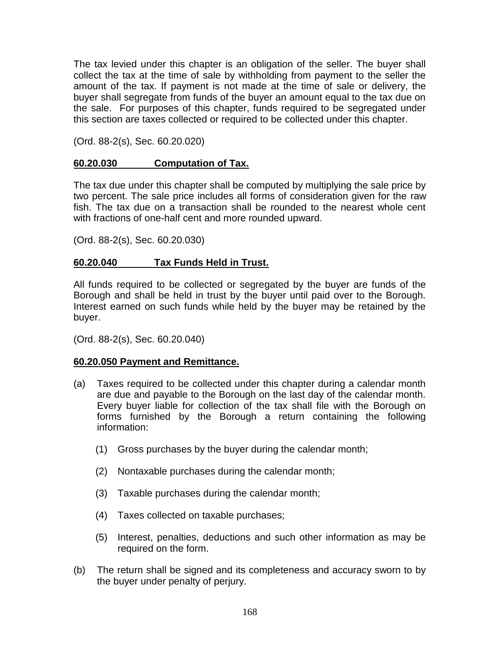The tax levied under this chapter is an obligation of the seller. The buyer shall collect the tax at the time of sale by withholding from payment to the seller the amount of the tax. If payment is not made at the time of sale or delivery, the buyer shall segregate from funds of the buyer an amount equal to the tax due on the sale. For purposes of this chapter, funds required to be segregated under this section are taxes collected or required to be collected under this chapter.

(Ord. 88-2(s), Sec. 60.20.020)

### **60.20.030 Computation of Tax.**

The tax due under this chapter shall be computed by multiplying the sale price by two percent. The sale price includes all forms of consideration given for the raw fish. The tax due on a transaction shall be rounded to the nearest whole cent with fractions of one-half cent and more rounded upward.

(Ord. 88-2(s), Sec. 60.20.030)

### **60.20.040 Tax Funds Held in Trust.**

All funds required to be collected or segregated by the buyer are funds of the Borough and shall be held in trust by the buyer until paid over to the Borough. Interest earned on such funds while held by the buyer may be retained by the buyer.

(Ord. 88-2(s), Sec. 60.20.040)

#### **60.20.050 Payment and Remittance.**

- (a) Taxes required to be collected under this chapter during a calendar month are due and payable to the Borough on the last day of the calendar month. Every buyer liable for collection of the tax shall file with the Borough on forms furnished by the Borough a return containing the following information:
	- (1) Gross purchases by the buyer during the calendar month;
	- (2) Nontaxable purchases during the calendar month;
	- (3) Taxable purchases during the calendar month;
	- (4) Taxes collected on taxable purchases;
	- (5) Interest, penalties, deductions and such other information as may be required on the form.
- (b) The return shall be signed and its completeness and accuracy sworn to by the buyer under penalty of perjury.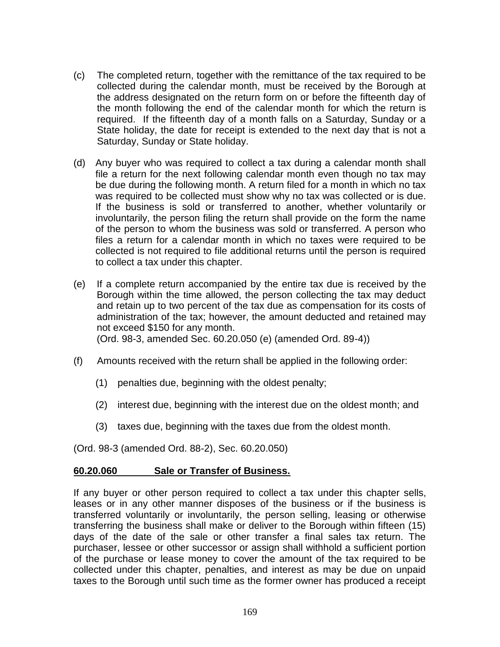- (c) The completed return, together with the remittance of the tax required to be collected during the calendar month, must be received by the Borough at the address designated on the return form on or before the fifteenth day of the month following the end of the calendar month for which the return is required. If the fifteenth day of a month falls on a Saturday, Sunday or a State holiday, the date for receipt is extended to the next day that is not a Saturday, Sunday or State holiday.
- (d) Any buyer who was required to collect a tax during a calendar month shall file a return for the next following calendar month even though no tax may be due during the following month. A return filed for a month in which no tax was required to be collected must show why no tax was collected or is due. If the business is sold or transferred to another, whether voluntarily or involuntarily, the person filing the return shall provide on the form the name of the person to whom the business was sold or transferred. A person who files a return for a calendar month in which no taxes were required to be collected is not required to file additional returns until the person is required to collect a tax under this chapter.
- (e) If a complete return accompanied by the entire tax due is received by the Borough within the time allowed, the person collecting the tax may deduct and retain up to two percent of the tax due as compensation for its costs of administration of the tax; however, the amount deducted and retained may not exceed \$150 for any month. (Ord. 98-3, amended Sec. 60.20.050 (e) (amended Ord. 89-4))
- (f) Amounts received with the return shall be applied in the following order:
	- (1) penalties due, beginning with the oldest penalty;
	- (2) interest due, beginning with the interest due on the oldest month; and
	- (3) taxes due, beginning with the taxes due from the oldest month.

(Ord. 98-3 (amended Ord. 88-2), Sec. 60.20.050)

#### **60.20.060 Sale or Transfer of Business.**

If any buyer or other person required to collect a tax under this chapter sells, leases or in any other manner disposes of the business or if the business is transferred voluntarily or involuntarily, the person selling, leasing or otherwise transferring the business shall make or deliver to the Borough within fifteen (15) days of the date of the sale or other transfer a final sales tax return. The purchaser, lessee or other successor or assign shall withhold a sufficient portion of the purchase or lease money to cover the amount of the tax required to be collected under this chapter, penalties, and interest as may be due on unpaid taxes to the Borough until such time as the former owner has produced a receipt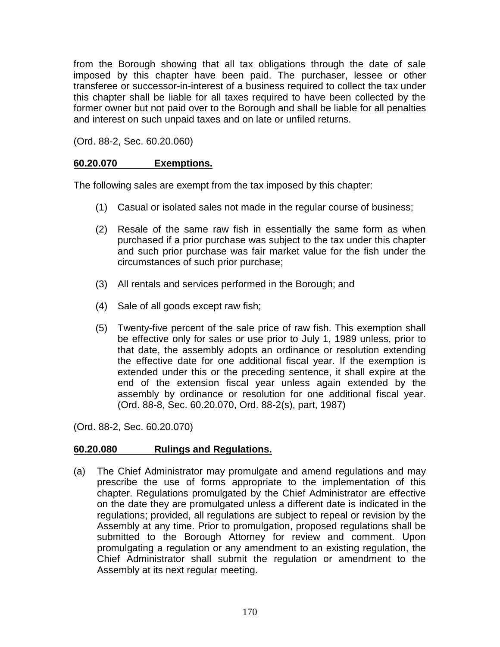from the Borough showing that all tax obligations through the date of sale imposed by this chapter have been paid. The purchaser, lessee or other transferee or successor-in-interest of a business required to collect the tax under this chapter shall be liable for all taxes required to have been collected by the former owner but not paid over to the Borough and shall be liable for all penalties and interest on such unpaid taxes and on late or unfiled returns.

(Ord. 88-2, Sec. 60.20.060)

### **60.20.070 Exemptions.**

The following sales are exempt from the tax imposed by this chapter:

- (1) Casual or isolated sales not made in the regular course of business;
- (2) Resale of the same raw fish in essentially the same form as when purchased if a prior purchase was subject to the tax under this chapter and such prior purchase was fair market value for the fish under the circumstances of such prior purchase;
- (3) All rentals and services performed in the Borough; and
- (4) Sale of all goods except raw fish;
- (5) Twenty-five percent of the sale price of raw fish. This exemption shall be effective only for sales or use prior to July 1, 1989 unless, prior to that date, the assembly adopts an ordinance or resolution extending the effective date for one additional fiscal year. If the exemption is extended under this or the preceding sentence, it shall expire at the end of the extension fiscal year unless again extended by the assembly by ordinance or resolution for one additional fiscal year. (Ord. 88-8, Sec. 60.20.070, Ord. 88-2(s), part, 1987)

(Ord. 88-2, Sec. 60.20.070)

## **60.20.080 Rulings and Regulations.**

(a) The Chief Administrator may promulgate and amend regulations and may prescribe the use of forms appropriate to the implementation of this chapter. Regulations promulgated by the Chief Administrator are effective on the date they are promulgated unless a different date is indicated in the regulations; provided, all regulations are subject to repeal or revision by the Assembly at any time. Prior to promulgation, proposed regulations shall be submitted to the Borough Attorney for review and comment. Upon promulgating a regulation or any amendment to an existing regulation, the Chief Administrator shall submit the regulation or amendment to the Assembly at its next regular meeting.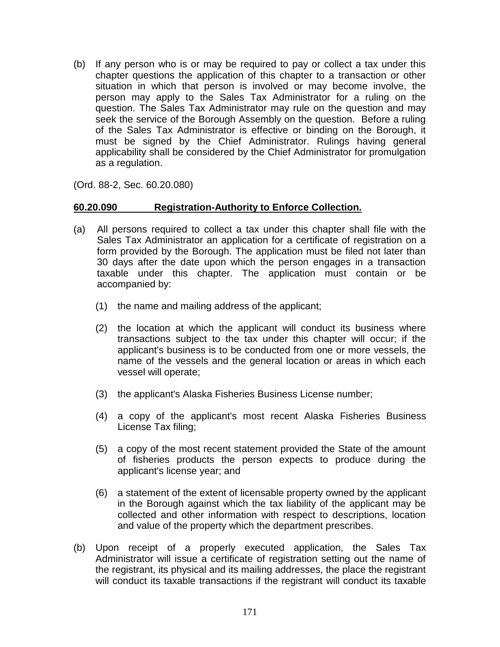(b) If any person who is or may be required to pay or collect a tax under this chapter questions the application of this chapter to a transaction or other situation in which that person is involved or may become involve, the person may apply to the Sales Tax Administrator for a ruling on the question. The Sales Tax Administrator may rule on the question and may seek the service of the Borough Assembly on the question. Before a ruling of the Sales Tax Administrator is effective or binding on the Borough, it must be signed by the Chief Administrator. Rulings having general applicability shall be considered by the Chief Administrator for promulgation as a regulation.

(Ord. 88-2, Sec. 60.20.080)

#### **60.20.090 Registration-Authority to Enforce Collection.**

- (a) All persons required to collect a tax under this chapter shall file with the Sales Tax Administrator an application for a certificate of registration on a form provided by the Borough. The application must be filed not later than 30 days after the date upon which the person engages in a transaction taxable under this chapter. The application must contain or be accompanied by:
	- (1) the name and mailing address of the applicant;
	- (2) the location at which the applicant will conduct its business where transactions subject to the tax under this chapter will occur; if the applicant's business is to be conducted from one or more vessels, the name of the vessels and the general location or areas in which each vessel will operate;
	- (3) the applicant's Alaska Fisheries Business License number;
	- (4) a copy of the applicant's most recent Alaska Fisheries Business License Tax filing;
	- (5) a copy of the most recent statement provided the State of the amount of fisheries products the person expects to produce during the applicant's license year; and
	- (6) a statement of the extent of licensable property owned by the applicant in the Borough against which the tax liability of the applicant may be collected and other information with respect to descriptions, location and value of the property which the department prescribes.
- (b) Upon receipt of a properly executed application, the Sales Tax Administrator will issue a certificate of registration setting out the name of the registrant, its physical and its mailing addresses, the place the registrant will conduct its taxable transactions if the registrant will conduct its taxable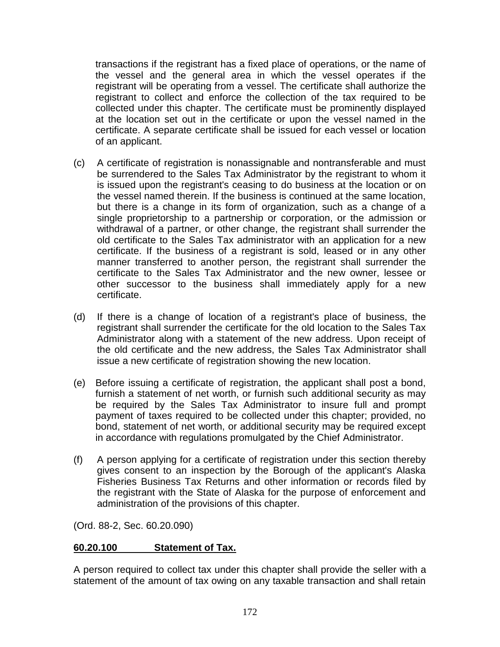transactions if the registrant has a fixed place of operations, or the name of the vessel and the general area in which the vessel operates if the registrant will be operating from a vessel. The certificate shall authorize the registrant to collect and enforce the collection of the tax required to be collected under this chapter. The certificate must be prominently displayed at the location set out in the certificate or upon the vessel named in the certificate. A separate certificate shall be issued for each vessel or location of an applicant.

- (c) A certificate of registration is nonassignable and nontransferable and must be surrendered to the Sales Tax Administrator by the registrant to whom it is issued upon the registrant's ceasing to do business at the location or on the vessel named therein. If the business is continued at the same location, but there is a change in its form of organization, such as a change of a single proprietorship to a partnership or corporation, or the admission or withdrawal of a partner, or other change, the registrant shall surrender the old certificate to the Sales Tax administrator with an application for a new certificate. If the business of a registrant is sold, leased or in any other manner transferred to another person, the registrant shall surrender the certificate to the Sales Tax Administrator and the new owner, lessee or other successor to the business shall immediately apply for a new certificate.
- (d) If there is a change of location of a registrant's place of business, the registrant shall surrender the certificate for the old location to the Sales Tax Administrator along with a statement of the new address. Upon receipt of the old certificate and the new address, the Sales Tax Administrator shall issue a new certificate of registration showing the new location.
- (e) Before issuing a certificate of registration, the applicant shall post a bond, furnish a statement of net worth, or furnish such additional security as may be required by the Sales Tax Administrator to insure full and prompt payment of taxes required to be collected under this chapter; provided, no bond, statement of net worth, or additional security may be required except in accordance with regulations promulgated by the Chief Administrator.
- (f) A person applying for a certificate of registration under this section thereby gives consent to an inspection by the Borough of the applicant's Alaska Fisheries Business Tax Returns and other information or records filed by the registrant with the State of Alaska for the purpose of enforcement and administration of the provisions of this chapter.

(Ord. 88-2, Sec. 60.20.090)

## **60.20.100 Statement of Tax.**

A person required to collect tax under this chapter shall provide the seller with a statement of the amount of tax owing on any taxable transaction and shall retain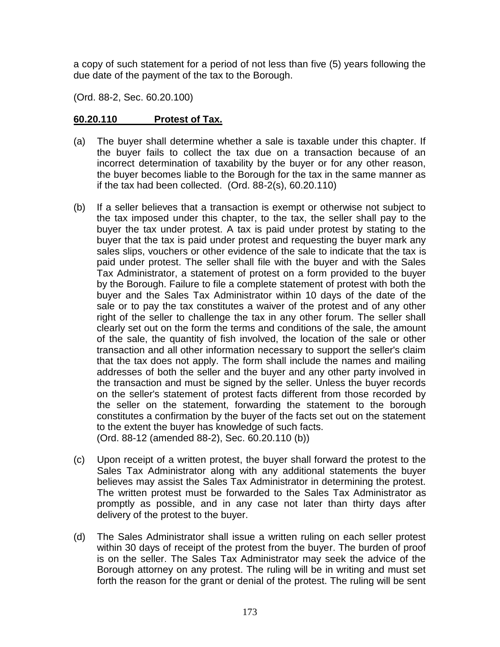a copy of such statement for a period of not less than five (5) years following the due date of the payment of the tax to the Borough.

(Ord. 88-2, Sec. 60.20.100)

## **60.20.110 Protest of Tax.**

- (a) The buyer shall determine whether a sale is taxable under this chapter. If the buyer fails to collect the tax due on a transaction because of an incorrect determination of taxability by the buyer or for any other reason, the buyer becomes liable to the Borough for the tax in the same manner as if the tax had been collected. (Ord. 88-2(s), 60.20.110)
- (b) If a seller believes that a transaction is exempt or otherwise not subject to the tax imposed under this chapter, to the tax, the seller shall pay to the buyer the tax under protest. A tax is paid under protest by stating to the buyer that the tax is paid under protest and requesting the buyer mark any sales slips, vouchers or other evidence of the sale to indicate that the tax is paid under protest. The seller shall file with the buyer and with the Sales Tax Administrator, a statement of protest on a form provided to the buyer by the Borough. Failure to file a complete statement of protest with both the buyer and the Sales Tax Administrator within 10 days of the date of the sale or to pay the tax constitutes a waiver of the protest and of any other right of the seller to challenge the tax in any other forum. The seller shall clearly set out on the form the terms and conditions of the sale, the amount of the sale, the quantity of fish involved, the location of the sale or other transaction and all other information necessary to support the seller's claim that the tax does not apply. The form shall include the names and mailing addresses of both the seller and the buyer and any other party involved in the transaction and must be signed by the seller. Unless the buyer records on the seller's statement of protest facts different from those recorded by the seller on the statement, forwarding the statement to the borough constitutes a confirmation by the buyer of the facts set out on the statement to the extent the buyer has knowledge of such facts. (Ord. 88-12 (amended 88-2), Sec. 60.20.110 (b))
- (c) Upon receipt of a written protest, the buyer shall forward the protest to the Sales Tax Administrator along with any additional statements the buyer believes may assist the Sales Tax Administrator in determining the protest. The written protest must be forwarded to the Sales Tax Administrator as promptly as possible, and in any case not later than thirty days after delivery of the protest to the buyer.
- (d) The Sales Administrator shall issue a written ruling on each seller protest within 30 days of receipt of the protest from the buyer. The burden of proof is on the seller. The Sales Tax Administrator may seek the advice of the Borough attorney on any protest. The ruling will be in writing and must set forth the reason for the grant or denial of the protest. The ruling will be sent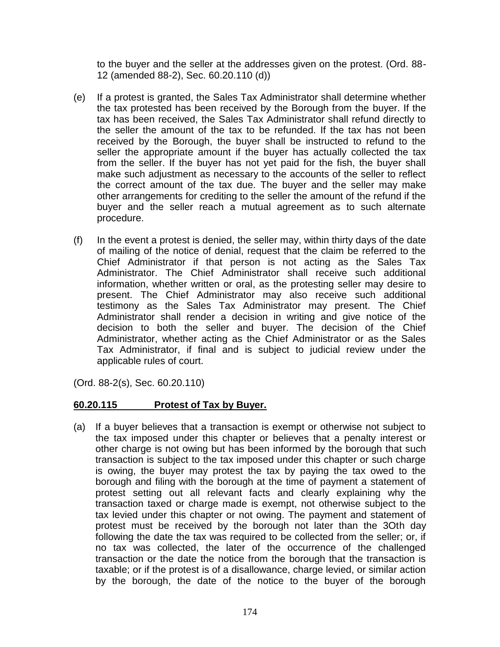to the buyer and the seller at the addresses given on the protest. (Ord. 88- 12 (amended 88-2), Sec. 60.20.110 (d))

- (e) If a protest is granted, the Sales Tax Administrator shall determine whether the tax protested has been received by the Borough from the buyer. If the tax has been received, the Sales Tax Administrator shall refund directly to the seller the amount of the tax to be refunded. If the tax has not been received by the Borough, the buyer shall be instructed to refund to the seller the appropriate amount if the buyer has actually collected the tax from the seller. If the buyer has not yet paid for the fish, the buyer shall make such adjustment as necessary to the accounts of the seller to reflect the correct amount of the tax due. The buyer and the seller may make other arrangements for crediting to the seller the amount of the refund if the buyer and the seller reach a mutual agreement as to such alternate procedure.
- (f) In the event a protest is denied, the seller may, within thirty days of the date of mailing of the notice of denial, request that the claim be referred to the Chief Administrator if that person is not acting as the Sales Tax Administrator. The Chief Administrator shall receive such additional information, whether written or oral, as the protesting seller may desire to present. The Chief Administrator may also receive such additional testimony as the Sales Tax Administrator may present. The Chief Administrator shall render a decision in writing and give notice of the decision to both the seller and buyer. The decision of the Chief Administrator, whether acting as the Chief Administrator or as the Sales Tax Administrator, if final and is subject to judicial review under the applicable rules of court.

(Ord. 88-2(s), Sec. 60.20.110)

#### **60.20.115 Protest of Tax by Buyer.**

(a) If a buyer believes that a transaction is exempt or otherwise not subject to the tax imposed under this chapter or believes that a penalty interest or other charge is not owing but has been informed by the borough that such transaction is subject to the tax imposed under this chapter or such charge is owing, the buyer may protest the tax by paying the tax owed to the borough and filing with the borough at the time of payment a statement of protest setting out all relevant facts and clearly explaining why the transaction taxed or charge made is exempt, not otherwise subject to the tax levied under this chapter or not owing. The payment and statement of protest must be received by the borough not later than the 3Oth day following the date the tax was required to be collected from the seller; or, if no tax was collected, the later of the occurrence of the challenged transaction or the date the notice from the borough that the transaction is taxable; or if the protest is of a disallowance, charge levied, or similar action by the borough, the date of the notice to the buyer of the borough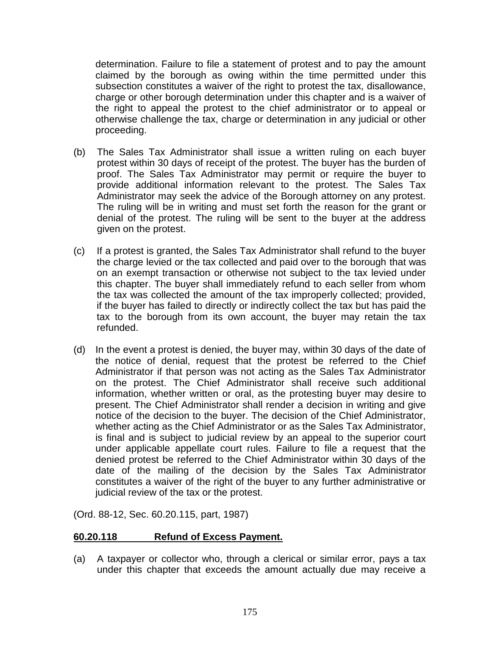determination. Failure to file a statement of protest and to pay the amount claimed by the borough as owing within the time permitted under this subsection constitutes a waiver of the right to protest the tax, disallowance, charge or other borough determination under this chapter and is a waiver of the right to appeal the protest to the chief administrator or to appeal or otherwise challenge the tax, charge or determination in any judicial or other proceeding.

- (b) The Sales Tax Administrator shall issue a written ruling on each buyer protest within 30 days of receipt of the protest. The buyer has the burden of proof. The Sales Tax Administrator may permit or require the buyer to provide additional information relevant to the protest. The Sales Tax Administrator may seek the advice of the Borough attorney on any protest. The ruling will be in writing and must set forth the reason for the grant or denial of the protest. The ruling will be sent to the buyer at the address given on the protest.
- (c) If a protest is granted, the Sales Tax Administrator shall refund to the buyer the charge levied or the tax collected and paid over to the borough that was on an exempt transaction or otherwise not subject to the tax levied under this chapter. The buyer shall immediately refund to each seller from whom the tax was collected the amount of the tax improperly collected; provided, if the buyer has failed to directly or indirectly collect the tax but has paid the tax to the borough from its own account, the buyer may retain the tax refunded.
- (d) In the event a protest is denied, the buyer may, within 30 days of the date of the notice of denial, request that the protest be referred to the Chief Administrator if that person was not acting as the Sales Tax Administrator on the protest. The Chief Administrator shall receive such additional information, whether written or oral, as the protesting buyer may desire to present. The Chief Administrator shall render a decision in writing and give notice of the decision to the buyer. The decision of the Chief Administrator, whether acting as the Chief Administrator or as the Sales Tax Administrator, is final and is subject to judicial review by an appeal to the superior court under applicable appellate court rules. Failure to file a request that the denied protest be referred to the Chief Administrator within 30 days of the date of the mailing of the decision by the Sales Tax Administrator constitutes a waiver of the right of the buyer to any further administrative or judicial review of the tax or the protest.

(Ord. 88-12, Sec. 60.20.115, part, 1987)

#### **60.20.118 Refund of Excess Payment.**

(a) A taxpayer or collector who, through a clerical or similar error, pays a tax under this chapter that exceeds the amount actually due may receive a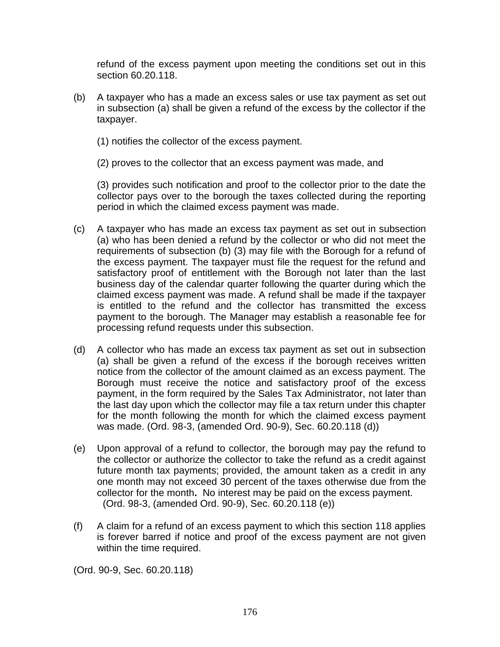refund of the excess payment upon meeting the conditions set out in this section 60.20.118.

- (b) A taxpayer who has a made an excess sales or use tax payment as set out in subsection (a) shall be given a refund of the excess by the collector if the taxpayer.
	- (1) notifies the collector of the excess payment.
	- (2) proves to the collector that an excess payment was made, and

(3) provides such notification and proof to the collector prior to the date the collector pays over to the borough the taxes collected during the reporting period in which the claimed excess payment was made.

- (c) A taxpayer who has made an excess tax payment as set out in subsection (a) who has been denied a refund by the collector or who did not meet the requirements of subsection (b) (3) may file with the Borough for a refund of the excess payment. The taxpayer must file the request for the refund and satisfactory proof of entitlement with the Borough not later than the last business day of the calendar quarter following the quarter during which the claimed excess payment was made. A refund shall be made if the taxpayer is entitled to the refund and the collector has transmitted the excess payment to the borough. The Manager may establish a reasonable fee for processing refund requests under this subsection.
- (d) A collector who has made an excess tax payment as set out in subsection (a) shall be given a refund of the excess if the borough receives written notice from the collector of the amount claimed as an excess payment. The Borough must receive the notice and satisfactory proof of the excess payment, in the form required by the Sales Tax Administrator, not later than the last day upon which the collector may file a tax return under this chapter for the month following the month for which the claimed excess payment was made. (Ord. 98-3, (amended Ord. 90-9), Sec. 60.20.118 (d))
- (e) Upon approval of a refund to collector, the borough may pay the refund to the collector or authorize the collector to take the refund as a credit against future month tax payments; provided, the amount taken as a credit in any one month may not exceed 30 percent of the taxes otherwise due from the collector for the month**.** No interest may be paid on the excess payment. (Ord. 98-3, (amended Ord. 90-9), Sec. 60.20.118 (e))
- (f) A claim for a refund of an excess payment to which this section 118 applies is forever barred if notice and proof of the excess payment are not given within the time required.

(Ord. 90-9, Sec. 60.20.118)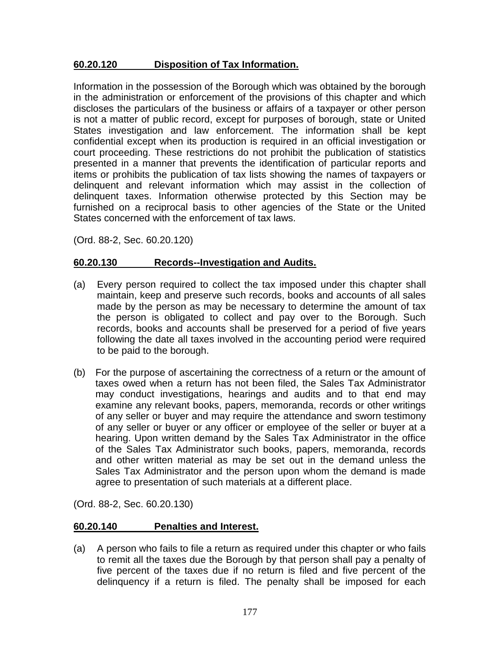### **60.20.120 Disposition of Tax Information.**

Information in the possession of the Borough which was obtained by the borough in the administration or enforcement of the provisions of this chapter and which discloses the particulars of the business or affairs of a taxpayer or other person is not a matter of public record, except for purposes of borough, state or United States investigation and law enforcement. The information shall be kept confidential except when its production is required in an official investigation or court proceeding. These restrictions do not prohibit the publication of statistics presented in a manner that prevents the identification of particular reports and items or prohibits the publication of tax lists showing the names of taxpayers or delinquent and relevant information which may assist in the collection of delinquent taxes. Information otherwise protected by this Section may be furnished on a reciprocal basis to other agencies of the State or the United States concerned with the enforcement of tax laws.

(Ord. 88-2, Sec. 60.20.120)

### **60.20.130 Records--Investigation and Audits.**

- (a) Every person required to collect the tax imposed under this chapter shall maintain, keep and preserve such records, books and accounts of all sales made by the person as may be necessary to determine the amount of tax the person is obligated to collect and pay over to the Borough. Such records, books and accounts shall be preserved for a period of five years following the date all taxes involved in the accounting period were required to be paid to the borough.
- (b) For the purpose of ascertaining the correctness of a return or the amount of taxes owed when a return has not been filed, the Sales Tax Administrator may conduct investigations, hearings and audits and to that end may examine any relevant books, papers, memoranda, records or other writings of any seller or buyer and may require the attendance and sworn testimony of any seller or buyer or any officer or employee of the seller or buyer at a hearing. Upon written demand by the Sales Tax Administrator in the office of the Sales Tax Administrator such books, papers, memoranda, records and other written material as may be set out in the demand unless the Sales Tax Administrator and the person upon whom the demand is made agree to presentation of such materials at a different place.

(Ord. 88-2, Sec. 60.20.130)

#### **60.20.140 Penalties and Interest.**

(a) A person who fails to file a return as required under this chapter or who fails to remit all the taxes due the Borough by that person shall pay a penalty of five percent of the taxes due if no return is filed and five percent of the delinquency if a return is filed. The penalty shall be imposed for each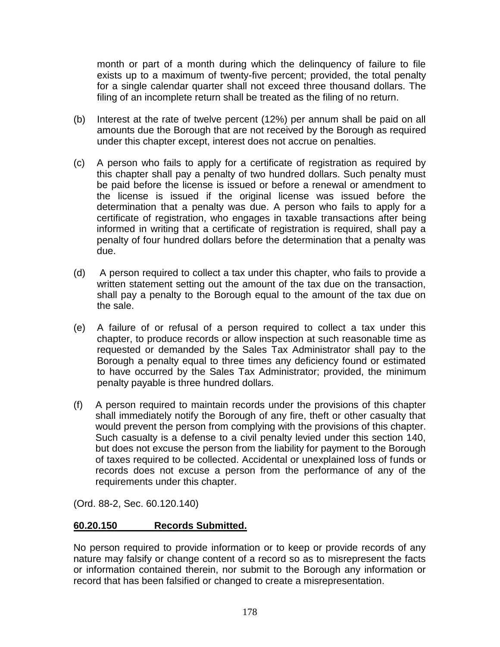month or part of a month during which the delinquency of failure to file exists up to a maximum of twenty-five percent; provided, the total penalty for a single calendar quarter shall not exceed three thousand dollars. The filing of an incomplete return shall be treated as the filing of no return.

- (b) Interest at the rate of twelve percent (12%) per annum shall be paid on all amounts due the Borough that are not received by the Borough as required under this chapter except, interest does not accrue on penalties.
- (c) A person who fails to apply for a certificate of registration as required by this chapter shall pay a penalty of two hundred dollars. Such penalty must be paid before the license is issued or before a renewal or amendment to the license is issued if the original license was issued before the determination that a penalty was due. A person who fails to apply for a certificate of registration, who engages in taxable transactions after being informed in writing that a certificate of registration is required, shall pay a penalty of four hundred dollars before the determination that a penalty was due.
- (d) A person required to collect a tax under this chapter, who fails to provide a written statement setting out the amount of the tax due on the transaction, shall pay a penalty to the Borough equal to the amount of the tax due on the sale.
- (e) A failure of or refusal of a person required to collect a tax under this chapter, to produce records or allow inspection at such reasonable time as requested or demanded by the Sales Tax Administrator shall pay to the Borough a penalty equal to three times any deficiency found or estimated to have occurred by the Sales Tax Administrator; provided, the minimum penalty payable is three hundred dollars.
- (f) A person required to maintain records under the provisions of this chapter shall immediately notify the Borough of any fire, theft or other casualty that would prevent the person from complying with the provisions of this chapter. Such casualty is a defense to a civil penalty levied under this section 140, but does not excuse the person from the liability for payment to the Borough of taxes required to be collected. Accidental or unexplained loss of funds or records does not excuse a person from the performance of any of the requirements under this chapter.

(Ord. 88-2, Sec. 60.120.140)

## **60.20.150 Records Submitted.**

No person required to provide information or to keep or provide records of any nature may falsify or change content of a record so as to misrepresent the facts or information contained therein, nor submit to the Borough any information or record that has been falsified or changed to create a misrepresentation.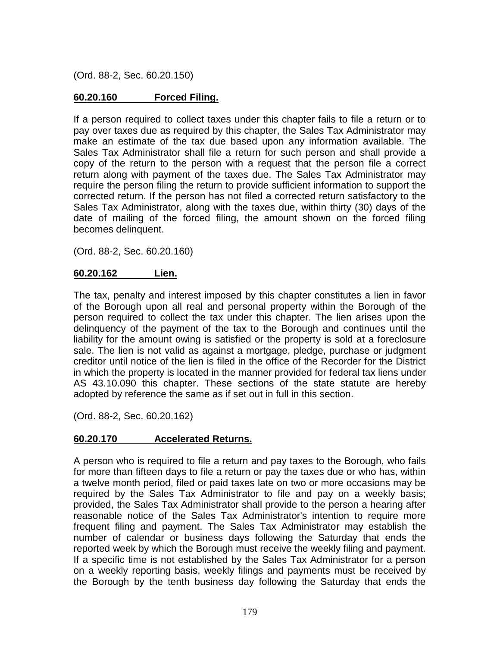(Ord. 88-2, Sec. 60.20.150)

## **60.20.160 Forced Filing.**

If a person required to collect taxes under this chapter fails to file a return or to pay over taxes due as required by this chapter, the Sales Tax Administrator may make an estimate of the tax due based upon any information available. The Sales Tax Administrator shall file a return for such person and shall provide a copy of the return to the person with a request that the person file a correct return along with payment of the taxes due. The Sales Tax Administrator may require the person filing the return to provide sufficient information to support the corrected return. If the person has not filed a corrected return satisfactory to the Sales Tax Administrator, along with the taxes due, within thirty (30) days of the date of mailing of the forced filing, the amount shown on the forced filing becomes delinquent.

(Ord. 88-2, Sec. 60.20.160)

#### **60.20.162 Lien.**

The tax, penalty and interest imposed by this chapter constitutes a lien in favor of the Borough upon all real and personal property within the Borough of the person required to collect the tax under this chapter. The lien arises upon the delinquency of the payment of the tax to the Borough and continues until the liability for the amount owing is satisfied or the property is sold at a foreclosure sale. The lien is not valid as against a mortgage, pledge, purchase or judgment creditor until notice of the lien is filed in the office of the Recorder for the District in which the property is located in the manner provided for federal tax liens under AS 43.10.090 this chapter. These sections of the state statute are hereby adopted by reference the same as if set out in full in this section.

(Ord. 88-2, Sec. 60.20.162)

#### **60.20.170 Accelerated Returns.**

A person who is required to file a return and pay taxes to the Borough, who fails for more than fifteen days to file a return or pay the taxes due or who has, within a twelve month period, filed or paid taxes late on two or more occasions may be required by the Sales Tax Administrator to file and pay on a weekly basis; provided, the Sales Tax Administrator shall provide to the person a hearing after reasonable notice of the Sales Tax Administrator's intention to require more frequent filing and payment. The Sales Tax Administrator may establish the number of calendar or business days following the Saturday that ends the reported week by which the Borough must receive the weekly filing and payment. If a specific time is not established by the Sales Tax Administrator for a person on a weekly reporting basis, weekly filings and payments must be received by the Borough by the tenth business day following the Saturday that ends the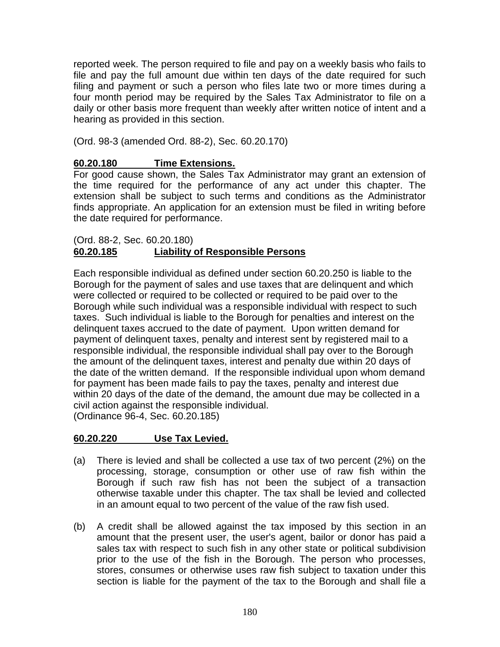reported week. The person required to file and pay on a weekly basis who fails to file and pay the full amount due within ten days of the date required for such filing and payment or such a person who files late two or more times during a four month period may be required by the Sales Tax Administrator to file on a daily or other basis more frequent than weekly after written notice of intent and a hearing as provided in this section.

(Ord. 98-3 (amended Ord. 88-2), Sec. 60.20.170)

## **60.20.180 Time Extensions.**

For good cause shown, the Sales Tax Administrator may grant an extension of the time required for the performance of any act under this chapter. The extension shall be subject to such terms and conditions as the Administrator finds appropriate. An application for an extension must be filed in writing before the date required for performance.

### (Ord. 88-2, Sec. 60.20.180) **60.20.185 Liability of Responsible Persons**

Each responsible individual as defined under section 60.20.250 is liable to the Borough for the payment of sales and use taxes that are delinquent and which were collected or required to be collected or required to be paid over to the Borough while such individual was a responsible individual with respect to such taxes. Such individual is liable to the Borough for penalties and interest on the delinquent taxes accrued to the date of payment. Upon written demand for payment of delinquent taxes, penalty and interest sent by registered mail to a responsible individual, the responsible individual shall pay over to the Borough the amount of the delinquent taxes, interest and penalty due within 20 days of the date of the written demand. If the responsible individual upon whom demand for payment has been made fails to pay the taxes, penalty and interest due within 20 days of the date of the demand, the amount due may be collected in a civil action against the responsible individual. (Ordinance 96-4, Sec. 60.20.185)

## **60.20.220 Use Tax Levied.**

- (a) There is levied and shall be collected a use tax of two percent (2%) on the processing, storage, consumption or other use of raw fish within the Borough if such raw fish has not been the subject of a transaction otherwise taxable under this chapter. The tax shall be levied and collected in an amount equal to two percent of the value of the raw fish used.
- (b) A credit shall be allowed against the tax imposed by this section in an amount that the present user, the user's agent, bailor or donor has paid a sales tax with respect to such fish in any other state or political subdivision prior to the use of the fish in the Borough. The person who processes, stores, consumes or otherwise uses raw fish subject to taxation under this section is liable for the payment of the tax to the Borough and shall file a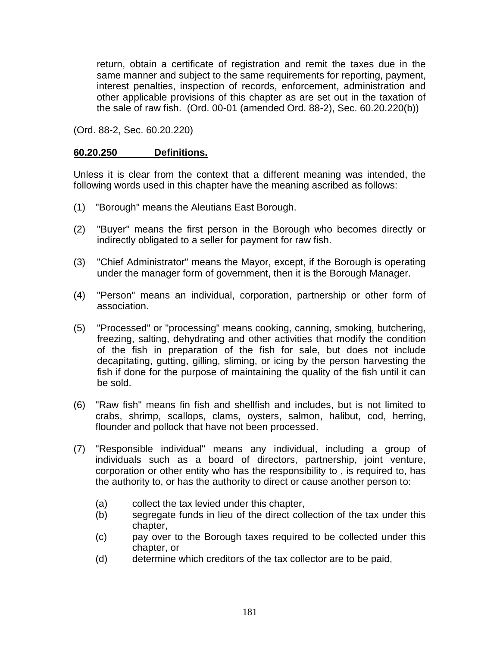return, obtain a certificate of registration and remit the taxes due in the same manner and subject to the same requirements for reporting, payment, interest penalties, inspection of records, enforcement, administration and other applicable provisions of this chapter as are set out in the taxation of the sale of raw fish. (Ord. 00-01 (amended Ord. 88-2), Sec. 60.20.220(b))

(Ord. 88-2, Sec. 60.20.220)

#### **60.20.250 Definitions.**

Unless it is clear from the context that a different meaning was intended, the following words used in this chapter have the meaning ascribed as follows:

- (1) "Borough" means the Aleutians East Borough.
- (2) "Buyer" means the first person in the Borough who becomes directly or indirectly obligated to a seller for payment for raw fish.
- (3) "Chief Administrator" means the Mayor, except, if the Borough is operating under the manager form of government, then it is the Borough Manager.
- (4) "Person" means an individual, corporation, partnership or other form of association.
- (5) "Processed" or "processing" means cooking, canning, smoking, butchering, freezing, salting, dehydrating and other activities that modify the condition of the fish in preparation of the fish for sale, but does not include decapitating, gutting, gilling, sliming, or icing by the person harvesting the fish if done for the purpose of maintaining the quality of the fish until it can be sold.
- (6) "Raw fish" means fin fish and shellfish and includes, but is not limited to crabs, shrimp, scallops, clams, oysters, salmon, halibut, cod, herring, flounder and pollock that have not been processed.
- (7) "Responsible individual" means any individual, including a group of individuals such as a board of directors, partnership, joint venture, corporation or other entity who has the responsibility to , is required to, has the authority to, or has the authority to direct or cause another person to:
	- (a) collect the tax levied under this chapter,
	- (b) segregate funds in lieu of the direct collection of the tax under this chapter,
	- (c) pay over to the Borough taxes required to be collected under this chapter, or
	- (d) determine which creditors of the tax collector are to be paid,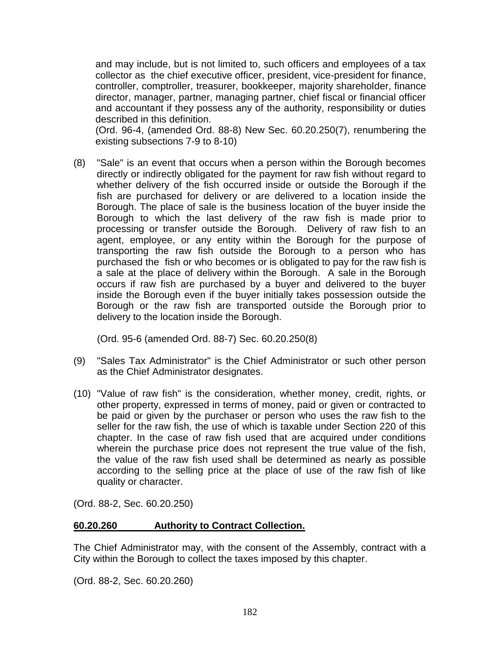and may include, but is not limited to, such officers and employees of a tax collector as the chief executive officer, president, vice-president for finance, controller, comptroller, treasurer, bookkeeper, majority shareholder, finance director, manager, partner, managing partner, chief fiscal or financial officer and accountant if they possess any of the authority, responsibility or duties described in this definition.

(Ord. 96-4, (amended Ord. 88-8) New Sec. 60.20.250(7), renumbering the existing subsections 7-9 to 8-10)

(8) "Sale" is an event that occurs when a person within the Borough becomes directly or indirectly obligated for the payment for raw fish without regard to whether delivery of the fish occurred inside or outside the Borough if the fish are purchased for delivery or are delivered to a location inside the Borough. The place of sale is the business location of the buyer inside the Borough to which the last delivery of the raw fish is made prior to processing or transfer outside the Borough. Delivery of raw fish to an agent, employee, or any entity within the Borough for the purpose of transporting the raw fish outside the Borough to a person who has purchased the fish or who becomes or is obligated to pay for the raw fish is a sale at the place of delivery within the Borough. A sale in the Borough occurs if raw fish are purchased by a buyer and delivered to the buyer inside the Borough even if the buyer initially takes possession outside the Borough or the raw fish are transported outside the Borough prior to delivery to the location inside the Borough.

(Ord. 95-6 (amended Ord. 88-7) Sec. 60.20.250(8)

- (9) "Sales Tax Administrator" is the Chief Administrator or such other person as the Chief Administrator designates.
- (10) "Value of raw fish" is the consideration, whether money, credit, rights, or other property, expressed in terms of money, paid or given or contracted to be paid or given by the purchaser or person who uses the raw fish to the seller for the raw fish, the use of which is taxable under Section 220 of this chapter. In the case of raw fish used that are acquired under conditions wherein the purchase price does not represent the true value of the fish, the value of the raw fish used shall be determined as nearly as possible according to the selling price at the place of use of the raw fish of like quality or character.

(Ord. 88-2, Sec. 60.20.250)

#### **60.20.260 Authority to Contract Collection.**

The Chief Administrator may, with the consent of the Assembly, contract with a City within the Borough to collect the taxes imposed by this chapter.

(Ord. 88-2, Sec. 60.20.260)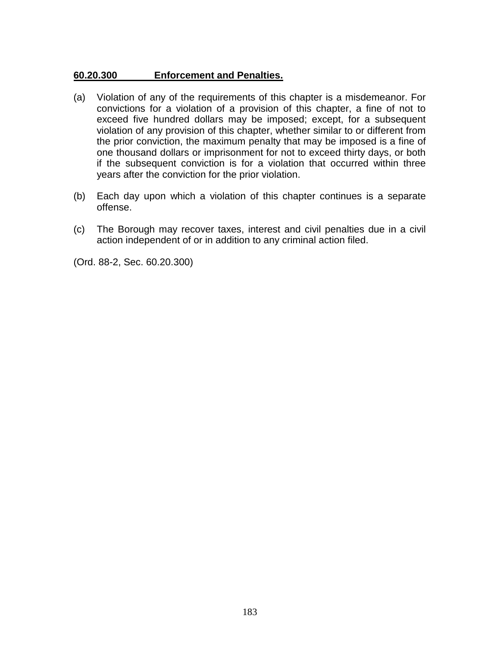#### **60.20.300 Enforcement and Penalties.**

- (a) Violation of any of the requirements of this chapter is a misdemeanor. For convictions for a violation of a provision of this chapter, a fine of not to exceed five hundred dollars may be imposed; except, for a subsequent violation of any provision of this chapter, whether similar to or different from the prior conviction, the maximum penalty that may be imposed is a fine of one thousand dollars or imprisonment for not to exceed thirty days, or both if the subsequent conviction is for a violation that occurred within three years after the conviction for the prior violation.
- (b) Each day upon which a violation of this chapter continues is a separate offense.
- (c) The Borough may recover taxes, interest and civil penalties due in a civil action independent of or in addition to any criminal action filed.

(Ord. 88-2, Sec. 60.20.300)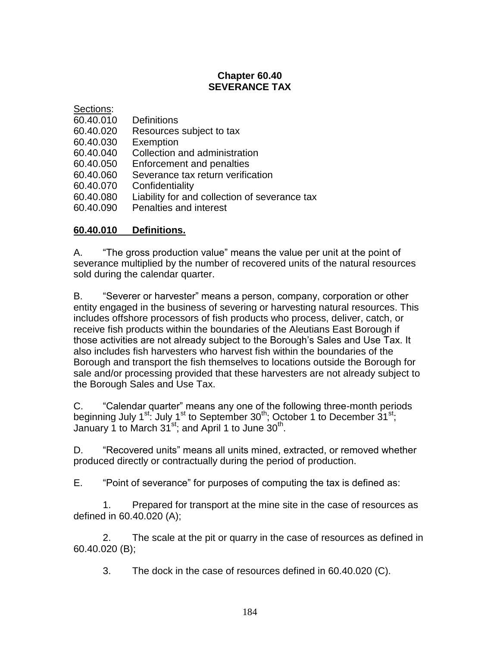# **Chapter 60.40 SEVERANCE TAX**

| Sections: |                                               |
|-----------|-----------------------------------------------|
| 60.40.010 | <b>Definitions</b>                            |
| 60.40.020 | Resources subject to tax                      |
| 60.40.030 | Exemption                                     |
| 60.40.040 | Collection and administration                 |
| 60.40.050 | Enforcement and penalties                     |
| 60.40.060 | Severance tax return verification             |
| 60.40.070 | Confidentiality                               |
| 60.40.080 | Liability for and collection of severance tax |
| 60.40.090 | Penalties and interest                        |

### **60.40.010 Definitions.**

A. "The gross production value" means the value per unit at the point of severance multiplied by the number of recovered units of the natural resources sold during the calendar quarter.

B. "Severer or harvester" means a person, company, corporation or other entity engaged in the business of severing or harvesting natural resources. This includes offshore processors of fish products who process, deliver, catch, or receive fish products within the boundaries of the Aleutians East Borough if those activities are not already subject to the Borough's Sales and Use Tax. It also includes fish harvesters who harvest fish within the boundaries of the Borough and transport the fish themselves to locations outside the Borough for sale and/or processing provided that these harvesters are not already subject to the Borough Sales and Use Tax.

C. "Calendar quarter" means any one of the following three-month periods beginning July 1<sup>st</sup>: July 1<sup>st</sup> to September 30<sup>th</sup>; October 1 to December 31<sup>st</sup>; January 1 to March  $31^{st}$ ; and April 1 to June  $30^{th}$ .

D. "Recovered units" means all units mined, extracted, or removed whether produced directly or contractually during the period of production.

E. "Point of severance" for purposes of computing the tax is defined as:

1. Prepared for transport at the mine site in the case of resources as defined in 60.40.020 (A);

2. The scale at the pit or quarry in the case of resources as defined in 60.40.020 (B);

3. The dock in the case of resources defined in 60.40.020 (C).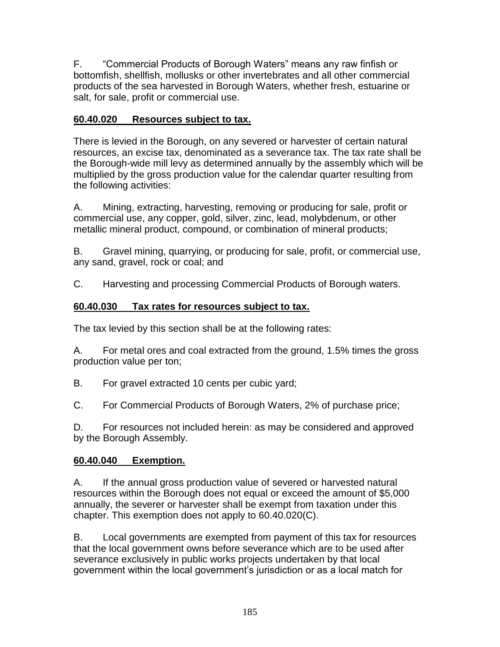F. "Commercial Products of Borough Waters" means any raw finfish or bottomfish, shellfish, mollusks or other invertebrates and all other commercial products of the sea harvested in Borough Waters, whether fresh, estuarine or salt, for sale, profit or commercial use.

## **60.40.020 Resources subject to tax.**

There is levied in the Borough, on any severed or harvester of certain natural resources, an excise tax, denominated as a severance tax. The tax rate shall be the Borough-wide mill levy as determined annually by the assembly which will be multiplied by the gross production value for the calendar quarter resulting from the following activities:

A. Mining, extracting, harvesting, removing or producing for sale, profit or commercial use, any copper, gold, silver, zinc, lead, molybdenum, or other metallic mineral product, compound, or combination of mineral products;

B. Gravel mining, quarrying, or producing for sale, profit, or commercial use, any sand, gravel, rock or coal; and

C. Harvesting and processing Commercial Products of Borough waters.

### **60.40.030 Tax rates for resources subject to tax.**

The tax levied by this section shall be at the following rates:

A. For metal ores and coal extracted from the ground, 1.5% times the gross production value per ton;

B. For gravel extracted 10 cents per cubic yard;

C. For Commercial Products of Borough Waters, 2% of purchase price;

D. For resources not included herein: as may be considered and approved by the Borough Assembly.

## **60.40.040 Exemption.**

A. If the annual gross production value of severed or harvested natural resources within the Borough does not equal or exceed the amount of \$5,000 annually, the severer or harvester shall be exempt from taxation under this chapter. This exemption does not apply to 60.40.020(C).

B. Local governments are exempted from payment of this tax for resources that the local government owns before severance which are to be used after severance exclusively in public works projects undertaken by that local government within the local government's jurisdiction or as a local match for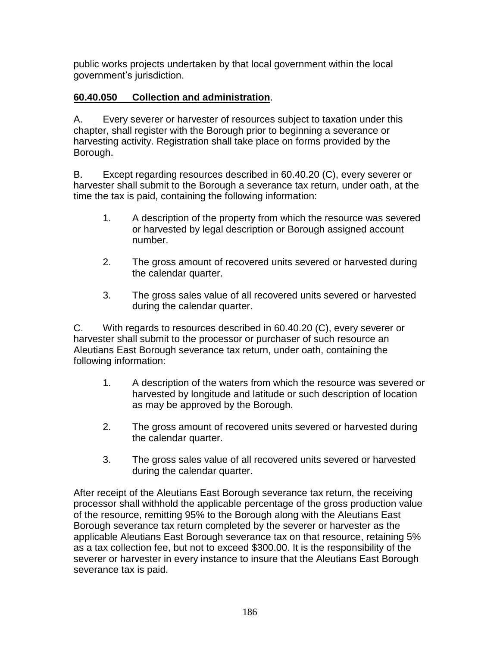public works projects undertaken by that local government within the local government's jurisdiction.

# **60.40.050 Collection and administration**.

A. Every severer or harvester of resources subject to taxation under this chapter, shall register with the Borough prior to beginning a severance or harvesting activity. Registration shall take place on forms provided by the Borough.

B. Except regarding resources described in 60.40.20 (C), every severer or harvester shall submit to the Borough a severance tax return, under oath, at the time the tax is paid, containing the following information:

- 1. A description of the property from which the resource was severed or harvested by legal description or Borough assigned account number.
- 2. The gross amount of recovered units severed or harvested during the calendar quarter.
- 3. The gross sales value of all recovered units severed or harvested during the calendar quarter.

C. With regards to resources described in 60.40.20 (C), every severer or harvester shall submit to the processor or purchaser of such resource an Aleutians East Borough severance tax return, under oath, containing the following information:

- 1. A description of the waters from which the resource was severed or harvested by longitude and latitude or such description of location as may be approved by the Borough.
- 2. The gross amount of recovered units severed or harvested during the calendar quarter.
- 3. The gross sales value of all recovered units severed or harvested during the calendar quarter.

After receipt of the Aleutians East Borough severance tax return, the receiving processor shall withhold the applicable percentage of the gross production value of the resource, remitting 95% to the Borough along with the Aleutians East Borough severance tax return completed by the severer or harvester as the applicable Aleutians East Borough severance tax on that resource, retaining 5% as a tax collection fee, but not to exceed \$300.00. It is the responsibility of the severer or harvester in every instance to insure that the Aleutians East Borough severance tax is paid.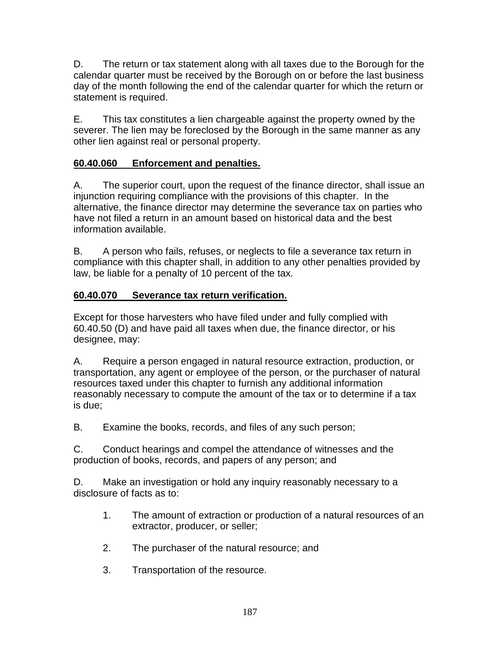D. The return or tax statement along with all taxes due to the Borough for the calendar quarter must be received by the Borough on or before the last business day of the month following the end of the calendar quarter for which the return or statement is required.

E. This tax constitutes a lien chargeable against the property owned by the severer. The lien may be foreclosed by the Borough in the same manner as any other lien against real or personal property.

## **60.40.060 Enforcement and penalties.**

A. The superior court, upon the request of the finance director, shall issue an injunction requiring compliance with the provisions of this chapter. In the alternative, the finance director may determine the severance tax on parties who have not filed a return in an amount based on historical data and the best information available.

B. A person who fails, refuses, or neglects to file a severance tax return in compliance with this chapter shall, in addition to any other penalties provided by law, be liable for a penalty of 10 percent of the tax.

### **60.40.070 Severance tax return verification.**

Except for those harvesters who have filed under and fully complied with 60.40.50 (D) and have paid all taxes when due, the finance director, or his designee, may:

A. Require a person engaged in natural resource extraction, production, or transportation, any agent or employee of the person, or the purchaser of natural resources taxed under this chapter to furnish any additional information reasonably necessary to compute the amount of the tax or to determine if a tax is due;

B. Examine the books, records, and files of any such person;

C. Conduct hearings and compel the attendance of witnesses and the production of books, records, and papers of any person; and

D. Make an investigation or hold any inquiry reasonably necessary to a disclosure of facts as to:

- 1. The amount of extraction or production of a natural resources of an extractor, producer, or seller;
- 2. The purchaser of the natural resource; and
- 3. Transportation of the resource.